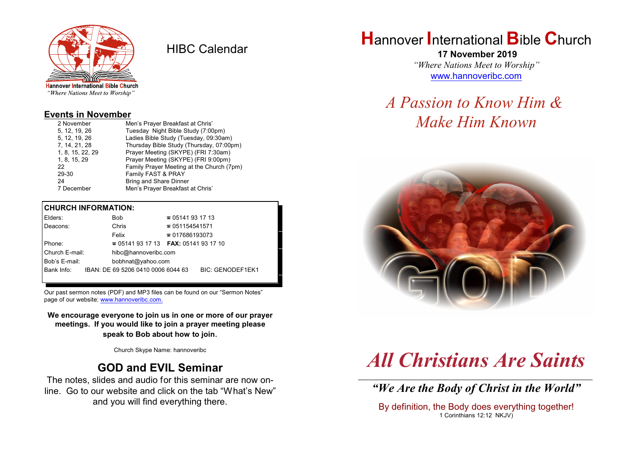

HIBC Calendar

"Where Nations Meet to Worship"

#### **Events in November**

| 2 November       | Men's Prayer Breakfast at Chris'          |
|------------------|-------------------------------------------|
| 5. 12. 19. 26    | Tuesday Night Bible Study (7:00pm)        |
| 5, 12, 19, 26    | Ladies Bible Study (Tuesday, 09:30am)     |
| 7, 14, 21, 28    | Thursday Bible Study (Thursday, 07:00pm)  |
| 1, 8, 15, 22, 29 | Prayer Meeting (SKYPE) (FRI 7:30am)       |
| 1, 8, 15, 29     | Prayer Meeting (SKYPE) (FRI 9:00pm)       |
| 22               | Family Prayer Meeting at the Church (7pm) |
| 29-30            | Family FAST & PRAY                        |
| 24               | <b>Bring and Share Dinner</b>             |
| 7 December       | Men's Prayer Breakfast at Chris'          |

#### **CHURCH INFORMATION:**

| Elders:        |                   | Bob                                | $\approx 05141931713$                               |                         |
|----------------|-------------------|------------------------------------|-----------------------------------------------------|-------------------------|
| Deacons:       |                   | Chris                              | $\approx 051154541571$                              |                         |
|                |                   | Felix                              | $\approx 017686193073$                              |                         |
| Phone:         |                   |                                    | <b>2</b> 05141 93 17 13 <b>FAX</b> : 05141 93 17 10 |                         |
| Church E-mail: |                   | hibc@hannoveribc.com               |                                                     |                         |
| Bob's E-mail:  | bobhnat@yahoo.com |                                    |                                                     |                         |
| Bank Info:     |                   | IBAN: DE 69 5206 0410 0006 6044 63 |                                                     | <b>BIC: GENODEF1EK1</b> |
|                |                   |                                    |                                                     |                         |

Our past sermon notes (PDF) and MP3 files can be found on our "Sermon Notes" page of our website: [www.hannoveribc.com.](http://www.hannoveribc.com.)

**We encourage everyone to join us in one or more of our prayer meetings. If you would like to join a prayer meeting please speak to Bob about how to join**.

Church Skype Name: hannoveribc

#### **GOD and EVIL Seminar**

The notes, slides and audio for this seminar are now online. Go to our website and click on the tab "What's New" and you will find everything there.

## **H**annover **I**nternational **B**ible **C**hurch

 **17 November 2019** *"Where Nations Meet to Worship"* [www.hannoveribc.com](http://www.hannoveribc.com)

# *A Passion to Know Him & Make Him Known*



# *All Christians Are Saints*

\_\_\_\_\_\_\_\_\_\_\_\_\_\_\_\_\_\_\_\_\_\_\_\_\_\_\_\_\_\_\_\_\_\_\_\_\_\_\_\_\_\_\_\_\_\_\_\_\_\_\_\_\_\_\_\_\_\_\_\_\_\_ *"We Are the Body of Christ in the World"*

By definition, the Body does everything together! 1 Corinthians 12:12 NKJV)